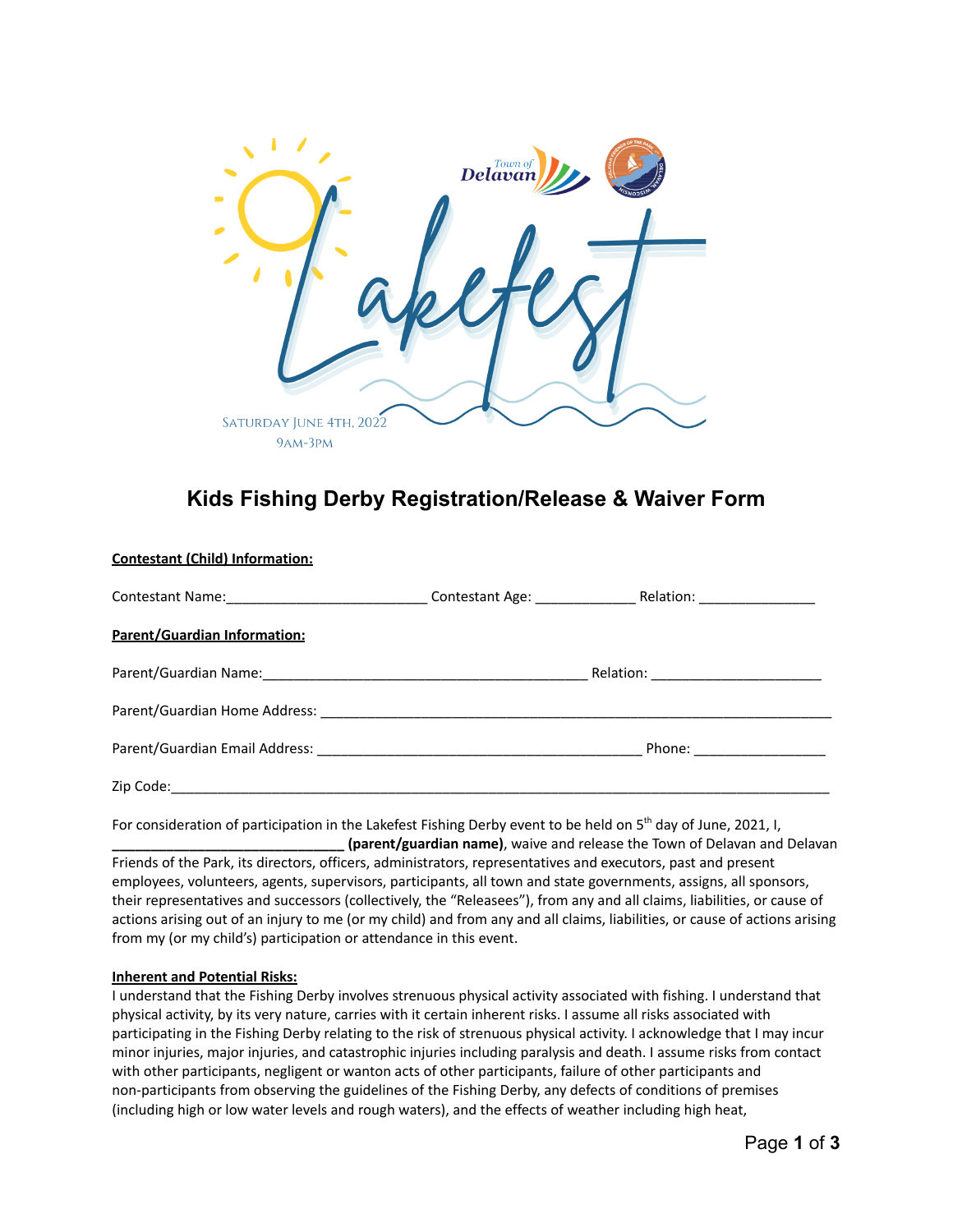

# **Kids Fishing Derby Registration/Release & Waiver Form**

|                                                                                                               | Contestant Age: Relation: Contestant Age: |  |
|---------------------------------------------------------------------------------------------------------------|-------------------------------------------|--|
| Parent/Guardian Information:                                                                                  |                                           |  |
|                                                                                                               |                                           |  |
|                                                                                                               |                                           |  |
| Parent/Guardian Email Address: Management Address: Management Address: Management Address: Management Address | Phone: ________________                   |  |
| Zip Code:                                                                                                     |                                           |  |

For consideration of participation in the Lakefest Fishing Derby event to be held on 5<sup>th</sup> day of June, 2021, I, **\_\_\_\_\_\_\_\_\_\_\_\_\_\_\_\_\_\_\_\_\_\_\_\_\_\_\_\_\_\_ (parent/guardian name)**, waive and release the Town of Delavan and Delavan Friends of the Park, its directors, officers, administrators, representatives and executors, past and present employees, volunteers, agents, supervisors, participants, all town and state governments, assigns, all sponsors, their representatives and successors (collectively, the "Releasees"), from any and all claims, liabilities, or cause of actions arising out of an injury to me (or my child) and from any and all claims, liabilities, or cause of actions arising from my (or my child's) participation or attendance in this event.

# **Inherent and Potential Risks:**

**Contestant (Child) Information:**

I understand that the Fishing Derby involves strenuous physical activity associated with fishing. I understand that physical activity, by its very nature, carries with it certain inherent risks. I assume all risks associated with participating in the Fishing Derby relating to the risk of strenuous physical activity. I acknowledge that I may incur minor injuries, major injuries, and catastrophic injuries including paralysis and death. I assume risks from contact with other participants, negligent or wanton acts of other participants, failure of other participants and non-participants from observing the guidelines of the Fishing Derby, any defects of conditions of premises (including high or low water levels and rough waters), and the effects of weather including high heat,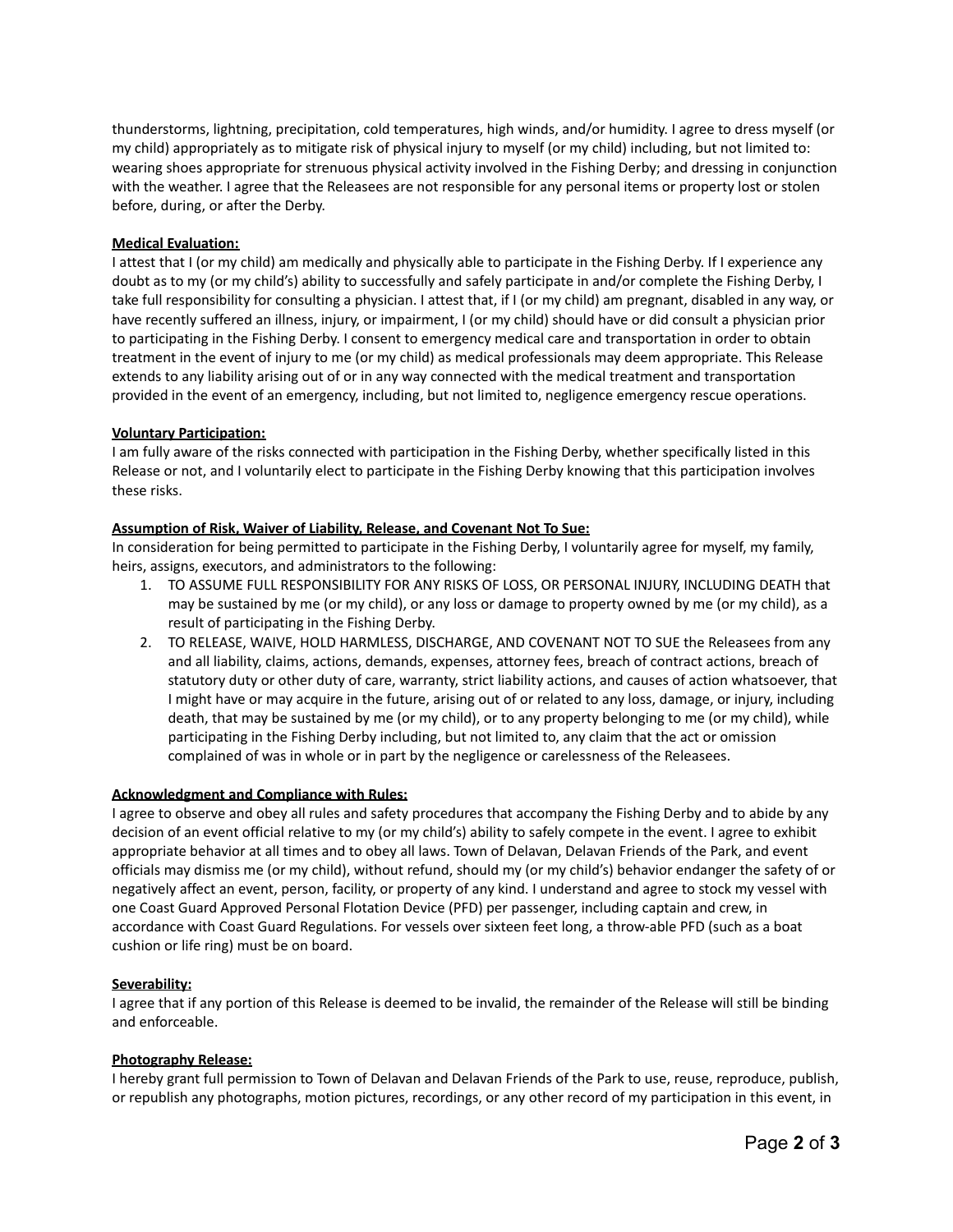thunderstorms, lightning, precipitation, cold temperatures, high winds, and/or humidity. I agree to dress myself (or my child) appropriately as to mitigate risk of physical injury to myself (or my child) including, but not limited to: wearing shoes appropriate for strenuous physical activity involved in the Fishing Derby; and dressing in conjunction with the weather. I agree that the Releasees are not responsible for any personal items or property lost or stolen before, during, or after the Derby.

### **Medical Evaluation:**

I attest that I (or my child) am medically and physically able to participate in the Fishing Derby. If I experience any doubt as to my (or my child's) ability to successfully and safely participate in and/or complete the Fishing Derby, I take full responsibility for consulting a physician. I attest that, if I (or my child) am pregnant, disabled in any way, or have recently suffered an illness, injury, or impairment, I (or my child) should have or did consult a physician prior to participating in the Fishing Derby. I consent to emergency medical care and transportation in order to obtain treatment in the event of injury to me (or my child) as medical professionals may deem appropriate. This Release extends to any liability arising out of or in any way connected with the medical treatment and transportation provided in the event of an emergency, including, but not limited to, negligence emergency rescue operations.

#### **Voluntary Participation:**

I am fully aware of the risks connected with participation in the Fishing Derby, whether specifically listed in this Release or not, and I voluntarily elect to participate in the Fishing Derby knowing that this participation involves these risks.

#### **Assumption of Risk, Waiver of Liability, Release, and Covenant Not To Sue:**

In consideration for being permitted to participate in the Fishing Derby, I voluntarily agree for myself, my family, heirs, assigns, executors, and administrators to the following:

- 1. TO ASSUME FULL RESPONSIBILITY FOR ANY RISKS OF LOSS, OR PERSONAL INJURY, INCLUDING DEATH that may be sustained by me (or my child), or any loss or damage to property owned by me (or my child), as a result of participating in the Fishing Derby.
- 2. TO RELEASE, WAIVE, HOLD HARMLESS, DISCHARGE, AND COVENANT NOT TO SUE the Releasees from any and all liability, claims, actions, demands, expenses, attorney fees, breach of contract actions, breach of statutory duty or other duty of care, warranty, strict liability actions, and causes of action whatsoever, that I might have or may acquire in the future, arising out of or related to any loss, damage, or injury, including death, that may be sustained by me (or my child), or to any property belonging to me (or my child), while participating in the Fishing Derby including, but not limited to, any claim that the act or omission complained of was in whole or in part by the negligence or carelessness of the Releasees.

# **Acknowledgment and Compliance with Rules:**

I agree to observe and obey all rules and safety procedures that accompany the Fishing Derby and to abide by any decision of an event official relative to my (or my child's) ability to safely compete in the event. I agree to exhibit appropriate behavior at all times and to obey all laws. Town of Delavan, Delavan Friends of the Park, and event officials may dismiss me (or my child), without refund, should my (or my child's) behavior endanger the safety of or negatively affect an event, person, facility, or property of any kind. I understand and agree to stock my vessel with one Coast Guard Approved Personal Flotation Device (PFD) per passenger, including captain and crew, in accordance with Coast Guard Regulations. For vessels over sixteen feet long, a throw-able PFD (such as a boat cushion or life ring) must be on board.

# **Severability:**

I agree that if any portion of this Release is deemed to be invalid, the remainder of the Release will still be binding and enforceable.

#### **Photography Release:**

I hereby grant full permission to Town of Delavan and Delavan Friends of the Park to use, reuse, reproduce, publish, or republish any photographs, motion pictures, recordings, or any other record of my participation in this event, in